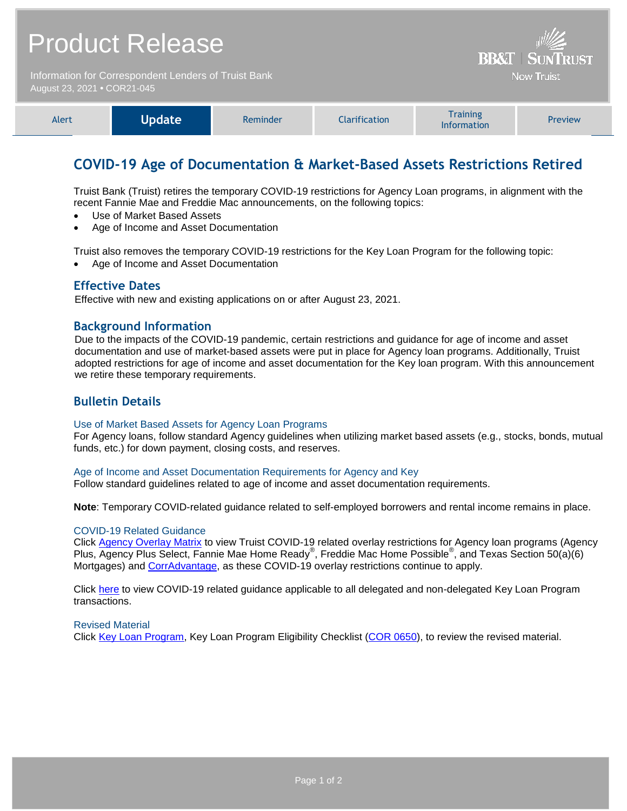| <b>Product Release</b>                                                              |               |          |                      | <b>BB&amp;T   SUNTRUST</b><br><b>Now Truist</b> |         |
|-------------------------------------------------------------------------------------|---------------|----------|----------------------|-------------------------------------------------|---------|
| Information for Correspondent Lenders of Truist Bank<br>August 23, 2021 • COR21-045 |               |          |                      |                                                 |         |
| Alert                                                                               | <b>Update</b> | Reminder | <b>Clarification</b> | <b>Training</b>                                 | Preview |
|                                                                                     |               |          |                      | <b>Information</b>                              |         |

# **COVID-19 Age of Documentation & Market-Based Assets Restrictions Retired**

Truist Bank (Truist) retires the temporary COVID-19 restrictions for Agency Loan programs, in alignment with the recent Fannie Mae and Freddie Mac announcements, on the following topics:

- Use of Market Based Assets
- Age of Income and Asset Documentation

Truist also removes the temporary COVID-19 restrictions for the Key Loan Program for the following topic:

Age of Income and Asset Documentation

#### **Effective Dates**

Effective with new and existing applications on or after August 23, 2021.

#### **Background Information**

Due to the impacts of the COVID-19 pandemic, certain restrictions and guidance for age of income and asset documentation and use of market-based assets were put in place for Agency loan programs. Additionally, Truist adopted restrictions for age of income and asset documentation for the Key loan program. With this announcement we retire these temporary requirements.

### **Bulletin Details**

#### Use of Market Based Assets for Agency Loan Programs

For Agency loans, follow standard Agency guidelines when utilizing market based assets (e.g., stocks, bonds, mutual funds, etc.) for down payment, closing costs, and reserves.

Age of Income and Asset Documentation Requirements for Agency and Key Follow standard guidelines related to age of income and asset documentation requirements.

**Note**: Temporary COVID-related guidance related to self-employed borrowers and rental income remains in place.

#### COVID-19 Related Guidance

Click [Agency Overlay Matrix](https://www.truistsellerguide.com/manual/cor/products/CAgencyCreditOverlays.pdf) to view Truist COVID-19 related overlay restrictions for Agency loan programs (Agency Plus, Agency Plus Select, Fannie Mae Home Ready®, Freddie Mac Home Possible®, and Texas Section 50(a)(6) Mortgages) and [CorrAdvantage,](https://www.truistsellerguide.com/Manual/cor/products/CorrAdvantage.pdf) as these COVID-19 overlay restrictions continue to apply.

Click [here](https://www.truistsellerguide.com/manual/cor/products/Cr21-045COVID.pdf) to view COVID-19 related guidance applicable to all delegated and non-delegated Key Loan Program transactions.

#### Revised Material

Click [Key Loan Program,](https://www.truistsellerguide.com/Manual/cor/products/CKey.pdf) Key Loan Program Eligibility Checklist [\(COR 0650\)](https://www.truistsellerguide.com/manual/cor/forms/COR0650.pdf), to review the revised material.